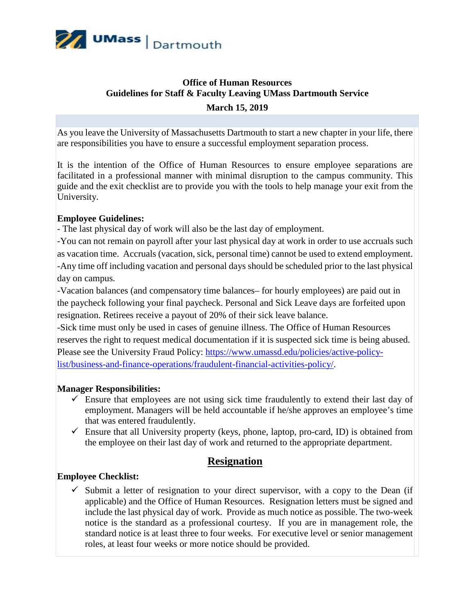

## **Office of Human Resources Guidelines for Staff & Faculty Leaving UMass Dartmouth Service March 15, 2019**

As you leave the University of Massachusetts Dartmouth to start a new chapter in your life, there are responsibilities you have to ensure a successful employment separation process.

It is the intention of the Office of Human Resources to ensure employee separations are facilitated in a professional manner with minimal disruption to the campus community. This guide and the exit checklist are to provide you with the tools to help manage your exit from the University.

### **Employee Guidelines:**

- The last physical day of work will also be the last day of employment.

-You can not remain on payroll after your last physical day at work in order to use accruals such as vacation time. Accruals (vacation, sick, personal time) cannot be used to extend employment. -Any time off including vacation and personal days should be scheduled prior to the last physical day on campus.

-Vacation balances (and compensatory time balances– for hourly employees) are paid out in the paycheck following your final paycheck. Personal and Sick Leave days are forfeited upon resignation. Retirees receive a payout of 20% of their sick leave balance.

-Sick time must only be used in cases of genuine illness. The Office of Human Resources reserves the right to request medical documentation if it is suspected sick time is being abused. Please see the University Fraud Policy: [https://www.umassd.edu/policies/active-policy](https://www.umassd.edu/policies/active-policy-list/business-and-finance-operations/fraudulent-financial-activities-policy/)[list/business-and-finance-operations/fraudulent-financial-activities-policy/.](https://www.umassd.edu/policies/active-policy-list/business-and-finance-operations/fraudulent-financial-activities-policy/)

#### **Manager Responsibilities:**

- $\checkmark$  Ensure that employees are not using sick time fraudulently to extend their last day of employment. Managers will be held accountable if he/she approves an employee's time that was entered fraudulently.
- $\checkmark$  Ensure that all University property (keys, phone, laptop, pro-card, ID) is obtained from the employee on their last day of work and returned to the appropriate department.

### **Resignation**

#### **Employee Checklist:**

 $\checkmark$  Submit a letter of resignation to your direct supervisor, with a copy to the Dean (if applicable) and the Office of Human Resources. Resignation letters must be signed and include the last physical day of work. Provide as much notice as possible. The two-week notice is the standard as a professional courtesy. If you are in management role, the standard notice is at least three to four weeks. For executive level or senior management roles, at least four weeks or more notice should be provided.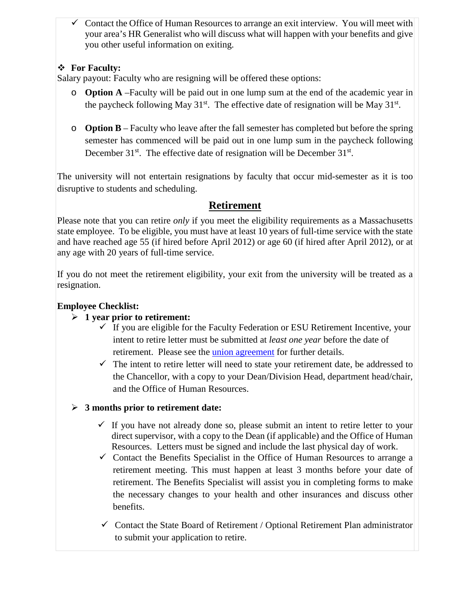$\checkmark$  Contact the Office of Human Resources to arrange an exit interview. You will meet with your area's HR Generalist who will discuss what will happen with your benefits and give you other useful information on exiting.

## **For Faculty:**

Salary payout: Faculty who are resigning will be offered these options:

- o **Option A** –Faculty will be paid out in one lump sum at the end of the academic year in the paycheck following May  $31^{st}$ . The effective date of resignation will be May  $31^{st}$ .
- o **Option B** Faculty who leave after the fall semester has completed but before the spring semester has commenced will be paid out in one lump sum in the paycheck following December  $31^{st}$ . The effective date of resignation will be December  $31^{st}$ .

The university will not entertain resignations by faculty that occur mid-semester as it is too disruptive to students and scheduling.

# **Retirement**

Please note that you can retire *only* if you meet the eligibility requirements as a Massachusetts state employee. To be eligible, you must have at least 10 years of full-time service with the state and have reached age 55 (if hired before April 2012) or age 60 (if hired after April 2012), or at any age with 20 years of full-time service.

If you do not meet the retirement eligibility, your exit from the university will be treated as a resignation.

## **Employee Checklist:**

### **1 year prior to retirement:**

- $\checkmark$  If you are eligible for the Faculty Federation or ESU Retirement Incentive, your intent to retire letter must be submitted at *least one year* before the date of retirement. Please see the *union agreement* for further details.
- $\checkmark$  The intent to retire letter will need to state your retirement date, be addressed to the Chancellor, with a copy to your Dean/Division Head, department head/chair, and the Office of Human Resources.
- **3 months prior to retirement date:**
	- $\checkmark$  If you have not already done so, please submit an intent to retire letter to your direct supervisor, with a copy to the Dean (if applicable) and the Office of Human Resources. Letters must be signed and include the last physical day of work.
	- $\checkmark$  Contact the Benefits Specialist in the Office of Human Resources to arrange a retirement meeting. This must happen at least 3 months before your date of retirement. The Benefits Specialist will assist you in completing forms to make the necessary changes to your health and other insurances and discuss other benefits.
	- $\checkmark$  Contact the State Board of Retirement / Optional Retirement Plan administrator to submit your application to retire.